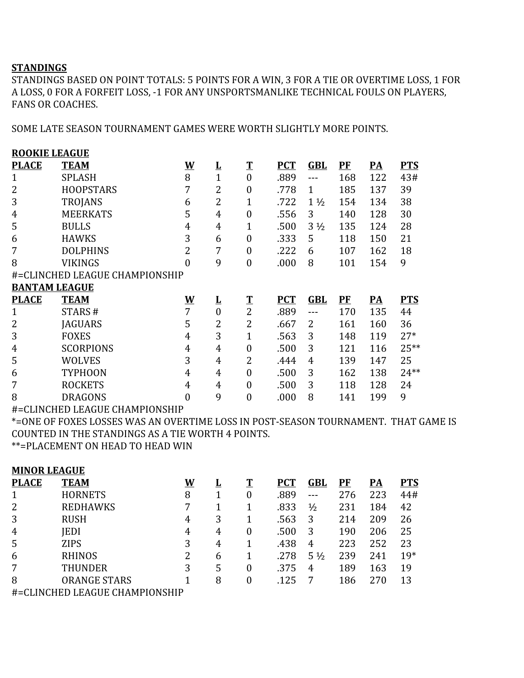## **STANDINGS**

STANDINGS BASED ON POINT TOTALS: 5 POINTS FOR A WIN, 3 FOR A TIE OR OVERTIME LOSS, 1 FOR A LOSS, 0 FOR A FORFEIT LOSS, -1 FOR ANY UNSPORTSMANLIKE TECHNICAL FOULS ON PLAYERS, FANS OR COACHES.

SOME LATE SEASON TOURNAMENT GAMES WERE WORTH SLIGHTLY MORE POINTS.

| <b>ROOKIE LEAGUE</b>           |                  |                  |                         |                  |            |                |         |                 |            |
|--------------------------------|------------------|------------------|-------------------------|------------------|------------|----------------|---------|-----------------|------------|
| <b>PLACE</b>                   | <b>TEAM</b>      | <u>W</u>         | $\overline{\mathbf{r}}$ | $\mathbf T$      | <b>PCT</b> | <b>GBL</b>     | $P$ $F$ | <u>PA</u>       | <b>PTS</b> |
| 1                              | <b>SPLASH</b>    | 8                | $\overline{1}$          | $\overline{0}$   | .889       |                | 168     | 122             | 43#        |
| 2                              | <b>HOOPSTARS</b> | 7                | 2                       | $\boldsymbol{0}$ | .778       | $\mathbf{1}$   | 185     | 137             | 39         |
| 3                              | <b>TROJANS</b>   | 6                | $\overline{2}$          | 1                | .722       | $1\frac{1}{2}$ | 154     | 134             | 38         |
| 4                              | <b>MEERKATS</b>  | 5                | 4                       | $\overline{0}$   | .556       | 3              | 140     | 128             | 30         |
| 5                              | <b>BULLS</b>     | 4                | 4                       | 1                | .500       | $3\frac{1}{2}$ | 135     | 124             | 28         |
| 6                              | <b>HAWKS</b>     | 3                | 6                       | $\boldsymbol{0}$ | .333       | 5              | 118     | 150             | 21         |
| 7                              | <b>DOLPHINS</b>  | 2                | 7                       | $\boldsymbol{0}$ | .222       | 6              | 107     | 162             | 18         |
| 8                              | <b>VIKINGS</b>   | $\boldsymbol{0}$ | 9                       | $\boldsymbol{0}$ | .000       | 8              | 101     | 154             | 9          |
| #=CLINCHED LEAGUE CHAMPIONSHIP |                  |                  |                         |                  |            |                |         |                 |            |
| <b>BANTAM LEAGUE</b>           |                  |                  |                         |                  |            |                |         |                 |            |
| <b>PLACE</b>                   | <b>TEAM</b>      | <u>W</u>         | $\overline{\mathbf{r}}$ | $\mathbf T$      | <b>PCT</b> | <b>GBL</b>     | $P$ $F$ | $\overline{PA}$ | <b>PTS</b> |
| $\mathbf{1}$                   | STARS#           | 7                | $\boldsymbol{0}$        | $\overline{2}$   | .889       |                | 170     | 135             | 44         |
| 2                              | <b>JAGUARS</b>   | 5                | 2                       | 2                | .667       | 2              | 161     | 160             | 36         |
| 3                              | <b>FOXES</b>     | 4                | 3                       | 1                | .563       | 3              | 148     | 119             | $27*$      |
| 4                              | <b>SCORPIONS</b> | 4                | 4                       | $\mathbf{0}$     | .500       | 3              | 121     | 116             | 25**       |
| 5                              | <b>WOLVES</b>    | 3                | 4                       | 2                | .444       | 4              | 139     | 147             | 25         |
| 6                              | <b>TYPHOON</b>   | 4                | 4                       | $\overline{0}$   | .500       | 3              | 162     | 138             | $24**$     |
| 7                              | <b>ROCKETS</b>   | 4                | 4                       | $\overline{0}$   | .500       | 3              | 118     | 128             | 24         |
| 8                              | <b>DRAGONS</b>   | $\overline{0}$   | 9                       | $\mathbf{0}$     | .000       | 8              | 141     | 199             | 9          |
|                                |                  |                  |                         |                  |            |                |         |                 |            |

#=CLINCHED LEAGUE CHAMPIONSHIP

\*=ONE OF FOXES LOSSES WAS AN OVERTIME LOSS IN POST-SEASON TOURNAMENT. THAT GAME IS COUNTED IN THE STANDINGS AS A TIE WORTH 4 POINTS.

\*\*=PLACEMENT ON HEAD TO HEAD WIN

| <b>MINOR LEAGUE</b> |                                |          |          |   |            |                |       |           |            |
|---------------------|--------------------------------|----------|----------|---|------------|----------------|-------|-----------|------------|
| <b>PLACE</b>        | <b>TEAM</b>                    | <u>W</u> | <u>ப</u> |   | <b>PCT</b> | GBL            | $P$ F | <b>PA</b> | <b>PTS</b> |
| $\mathbf 1$         | <b>HORNETS</b>                 | 8        |          | 0 | .889       |                | 276   | 223       | 44#        |
| 2                   | <b>REDHAWKS</b>                | 7        |          |   | .833       | $\frac{1}{2}$  | 231   | 184       | 42         |
| 3                   | <b>RUSH</b>                    | 4        | 3        |   | .563       | 3              | 214   | 209       | 26         |
| 4                   | <b>IEDI</b>                    | 4        | 4        | 0 | .500       | 3              | 190   | 206       | 25         |
| 5                   | <b>ZIPS</b>                    | 3        | 4        |   | .438       | 4              | 223   | 252       | 23         |
| 6                   | <b>RHINOS</b>                  | 2        | 6        |   | .278       | $5\frac{1}{2}$ | 239   | 241       | $19*$      |
| 7                   | THUNDER                        | 3        | 5        | 0 | .375       | 4              | 189   | 163       | 19         |
| 8                   | <b>ORANGE STARS</b>            |          | 8        | 0 | .125       | 7              | 186   | 270       | 13         |
|                     | #=CLINCHED LEAGUE CHAMPIONSHIP |          |          |   |            |                |       |           |            |